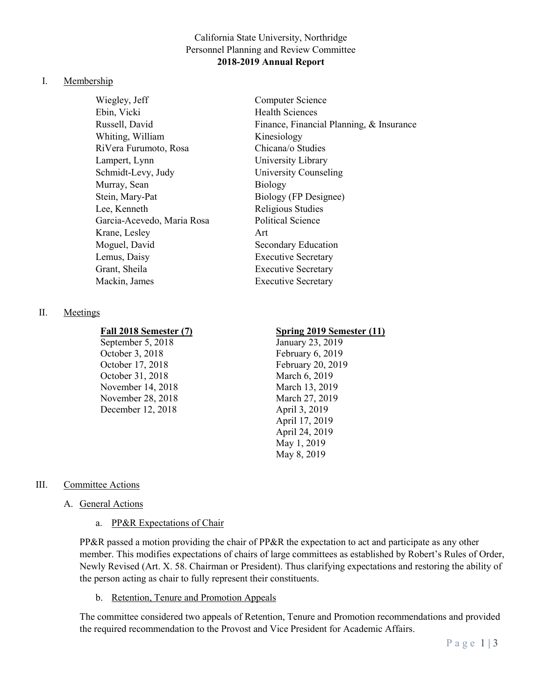## California State University, Northridge Personnel Planning and Review Committee **2018-2019 Annual Report**

#### I. Membership

Wiegley, Jeff Computer Science Ebin, Vicki Health Sciences Whiting, William Kinesiology RiVera Furumoto, Rosa Chicana/o Studies Lampert, Lynn University Library Schmidt-Levy, Judy University Counseling Murray, Sean Biology Stein, Mary-Pat Biology (FP Designee) Lee, Kenneth Religious Studies Garcia-Acevedo, Maria Rosa Political Science Krane, Lesley Art Moguel, David Secondary Education Lemus, Daisy Executive Secretary Grant, Sheila **Executive Secretary** Mackin, James Executive Secretary

Russell, David Finance, Financial Planning, & Insurance

# II. Meetings

September 5, 2018 January 23, 2019 October 3, 2018 February 6, 2019 October 17, 2018 February 20, 2019 October 31, 2018 March 6, 2019 November 14, 2018 March 13, 2019 November 28, 2018 March 27, 2019 December 12, 2018 April 3, 2019

#### **Fall 2018 Semester (7) Spring 2019 Semester (11)**

April 17, 2019 April 24, 2019 May 1, 2019 May 8, 2019

### III. Committee Actions

### A. General Actions

a. PP&R Expectations of Chair

PP&R passed a motion providing the chair of PP&R the expectation to act and participate as any other member. This modifies expectations of chairs of large committees as established by Robert's Rules of Order, Newly Revised (Art. X. 58. Chairman or President). Thus clarifying expectations and restoring the ability of the person acting as chair to fully represent their constituents.

b. Retention, Tenure and Promotion Appeals

The committee considered two appeals of Retention, Tenure and Promotion recommendations and provided the required recommendation to the Provost and Vice President for Academic Affairs.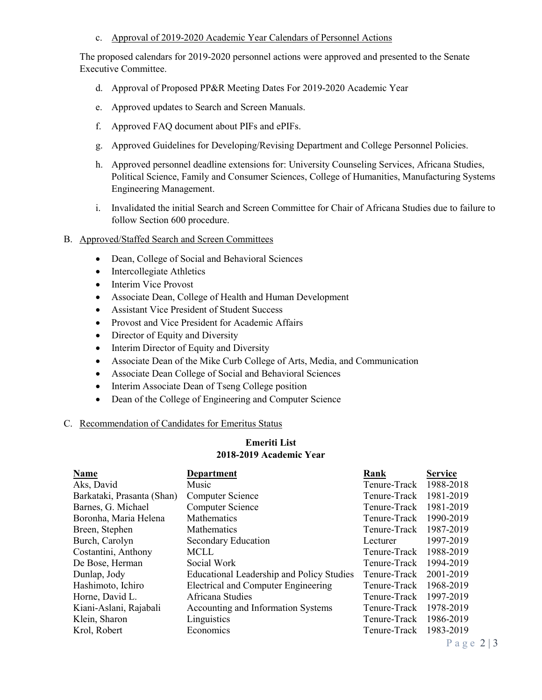### c. Approval of 2019-2020 Academic Year Calendars of Personnel Actions

The proposed calendars for 2019-2020 personnel actions were approved and presented to the Senate Executive Committee.

- d. Approval of Proposed PP&R Meeting Dates For 2019-2020 Academic Year
- e. Approved updates to Search and Screen Manuals.
- f. Approved FAQ document about PIFs and ePIFs.
- g. Approved Guidelines for Developing/Revising Department and College Personnel Policies.
- h. Approved personnel deadline extensions for: University Counseling Services, Africana Studies, Political Science, Family and Consumer Sciences, College of Humanities, Manufacturing Systems Engineering Management.
- i. Invalidated the initial Search and Screen Committee for Chair of Africana Studies due to failure to follow Section 600 procedure.

### B. Approved/Staffed Search and Screen Committees

- Dean, College of Social and Behavioral Sciences
- Intercollegiate Athletics
- Interim Vice Provost
- Associate Dean, College of Health and Human Development
- Assistant Vice President of Student Success
- Provost and Vice President for Academic Affairs
- Director of Equity and Diversity
- Interim Director of Equity and Diversity
- Associate Dean of the Mike Curb College of Arts, Media, and Communication
- Associate Dean College of Social and Behavioral Sciences
- Interim Associate Dean of Tseng College position
- Dean of the College of Engineering and Computer Science

# C. Recommendation of Candidates for Emeritus Status

# **Emeriti List 2018-2019 Academic Year**

| Name                       | Department                                       | Rank         | <b>Service</b> |
|----------------------------|--------------------------------------------------|--------------|----------------|
| Aks, David                 | Music                                            | Tenure-Track | 1988-2018      |
| Barkataki, Prasanta (Shan) | Computer Science                                 | Tenure-Track | 1981-2019      |
| Barnes, G. Michael         | <b>Computer Science</b>                          | Tenure-Track | 1981-2019      |
| Boronha, Maria Helena      | <b>Mathematics</b>                               | Tenure-Track | 1990-2019      |
| Breen, Stephen             | <b>Mathematics</b>                               | Tenure-Track | 1987-2019      |
| Burch, Carolyn             | Secondary Education                              | Lecturer     | 1997-2019      |
| Costantini, Anthony        | <b>MCLL</b>                                      | Tenure-Track | 1988-2019      |
| De Bose, Herman            | Social Work                                      | Tenure-Track | 1994-2019      |
| Dunlap, Jody               | <b>Educational Leadership and Policy Studies</b> | Tenure-Track | 2001-2019      |
| Hashimoto, Ichiro          | <b>Electrical and Computer Engineering</b>       | Tenure-Track | 1968-2019      |
| Horne, David L.            | Africana Studies                                 | Tenure-Track | 1997-2019      |
| Kiani-Aslani, Rajabali     | Accounting and Information Systems               | Tenure-Track | 1978-2019      |
| Klein, Sharon              | Linguistics                                      | Tenure-Track | 1986-2019      |
| Krol, Robert               | Economics                                        | Tenure-Track | 1983-2019      |